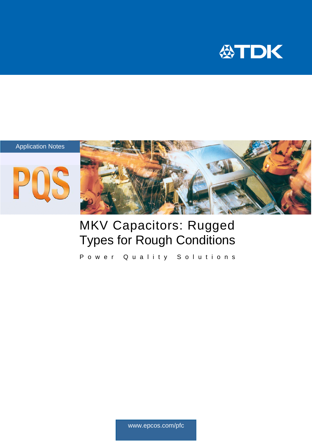







# MKV Capacitors: Rugged Types for Rough Conditions

Power Quality Solutions

www.epcos.com/pfc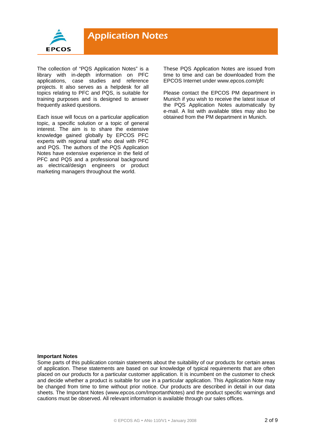

The collection of "PQS Application Notes" is a library with in-depth information on PFC applications, case studies and reference projects. It also serves as a helpdesk for all topics relating to PFC and PQS, is suitable for training purposes and is designed to answer frequently asked questions.

Each issue will focus on a particular application topic, a specific solution or a topic of general interest. The aim is to share the extensive knowledge gained globally by EPCOS PFC experts with regional staff who deal with PFC and PQS. The authors of the PQS Application Notes have extensive experience in the field of PFC and PQS and a professional background as electrical/design engineers or product marketing managers throughout the world.

These PQS Application Notes are issued from time to time and can be downloaded from the EPCOS Internet under www.epcos.com/pfc

Please contact the EPCOS PM department in Munich if you wish to receive the latest issue of the PQS Application Notes automatically by e-mail. A list with available titles may also be obtained from the PM department in Munich.

#### **Important Notes**

Some parts of this publication contain statements about the suitability of our products for certain areas of application. These statements are based on our knowledge of typical requirements that are often placed on our products for a particular customer application. It is incumbent on the customer to check and decide whether a product is suitable for use in a particular application. This Application Note may be changed from time to time without prior notice. Our products are described in detail in our data sheets. The Important Notes (www.epcos.com/ImportantNotes) and the product specific warnings and cautions must be observed. All relevant information is available through our sales offices.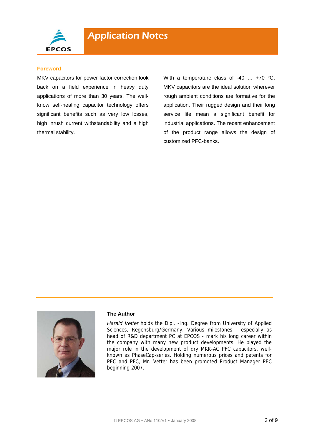

#### **Foreword**

MKV capacitors for power factor correction look back on a field experience in heavy duty applications of more than 30 years. The wellknow self-healing capacitor technology offers significant benefits such as very low losses, high inrush current withstandability and a high thermal stability.

With a temperature class of -40 ... +70 °C, MKV capacitors are the ideal solution wherever rough ambient conditions are formative for the application. Their rugged design and their long service life mean a significant benefit for industrial applications. The recent enhancement of the product range allows the design of customized PFC-banks.



#### **The Author**

*Harald Vetter* holds the Dipl. -Ing. Degree from University of Applied Sciences, Regensburg/Germany. Various milestones - especially as head of R&D department PC at EPCOS - mark his long career within the company with many new product developments. He played the major role in the development of dry MKK-AC PFC capacitors, wellknown as PhaseCap-series. Holding numerous prices and patents for PEC and PFC, Mr. Vetter has been promoted Product Manager PEC beginning 2007.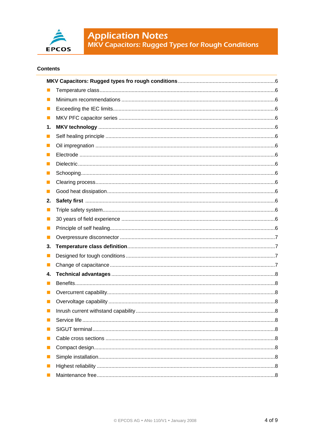

**Application Notes**<br>MKV Capacitors: Rugged Types for Rough Conditions

### **Contents**

| ш              |  |
|----------------|--|
| ш              |  |
| $\blacksquare$ |  |
| 1.             |  |
| H              |  |
| u              |  |
| n.             |  |
|                |  |
| ш              |  |
|                |  |
|                |  |
| 2.             |  |
| ш              |  |
| ш              |  |
| u              |  |
| Ш              |  |
| 3.             |  |
| П              |  |
| ш              |  |
| 4.             |  |
| П              |  |
|                |  |
|                |  |
|                |  |
|                |  |
|                |  |
| ш              |  |
| П              |  |
| Ш              |  |
| Ш              |  |
|                |  |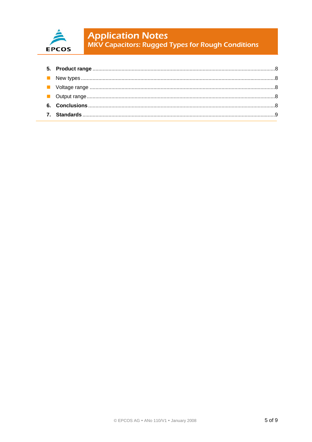

**Application Notes**<br>MKV Capacitors: Rugged Types for Rough Conditions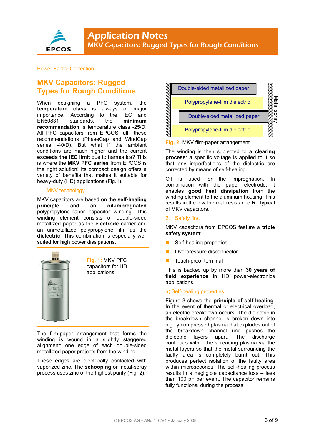

#### Power Factor Correction

# **MKV Capacitors: Rugged Types for Rough Conditions**

When designing a PFC system, the **temperature class** is always of major importance. According to the IEC and<br>EN60831 standards. the minimum EN60831 standards, the **recommendation** is temperature class -25/D. All PFC capacitors from EPCOS fulfil these recommendations (PhaseCap and WindCap series -40/D). But what if the ambient conditions are much higher and the current **exceeds the IEC limit** due to harmonics? This is where the **MKV PFC series** from EPCOS is the right solution! Its compact design offers a variety of benefits that makes it suitable for heavy-duty (HD) applications (Fig.1).

#### 1. MKV technology

MKV capacitors are based on the **self-healing principle** and an **oil-impregnated** polypropylene-paper capacitor winding. This winding element consists of double-sided metallized paper as the **electrode** carrier and an unmetallized polypropylene film as the **dielectric**. This combination is especially well suited for high power dissipations.



**Fig. 1:** MKV PFC capacitors for HD applications

The film-paper arrangement that forms the winding is wound in a slightly staggered alignment: one edge of each double-sided metallized paper projects from the winding.

These edges are electrically contacted with vaporized zinc. The **schooping** or metal-spray process uses zinc of the highest purity (Fig. 2).



The winding is then subjected to a **clearing process**: a specific voltage is applied to it so that any imperfections of the dielectric are corrected by means of self-healing.

Oil is used for the impregnation. In combination with the paper electrode, it enables **good heat dissipation** from the winding element to the aluminum housing. This results in the low thermal resistance  $R_{th}$  typical of MKV capacitors.

#### 2. Safety first

MKV capacitors from EPCOS feature a **triple safety system**:

- Self-healing properties
- Overpressure disconnector
- Touch-proof terminal

This is backed up by more than **30 years of field experience** in HD power-electronics applications.

#### a) Self-healing properties

Figure 3 shows the **principle of self-healing**. In the event of thermal or electrical overload, an electric breakdown occurs. The dielectric in the breakdown channel is broken down into highly compressed plasma that explodes out of the breakdown channel und pushes the dielectric layers apart. The discharge continues within the spreading plasma via the metal layers so that the metal surrounding the faulty area is completely burnt out. This produces perfect isolation of the faulty area within microseconds. The self-healing process results in a negligible capacitance loss – less than 100 pF per event. The capacitor remains fully functional during the process.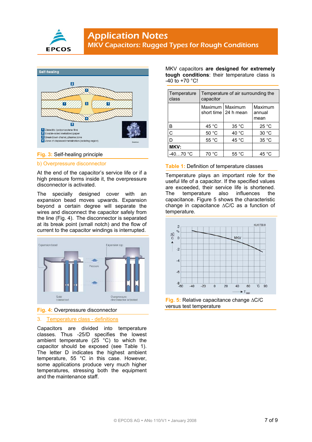



#### **Fig. 3:** Self-healing principle

#### b) Overpressure disconnector

At the end of the capacitor's service life or if a high pressure forms inside it, the overpressure disconnector is activated.

The specially designed cover with an expansion bead moves upwards. Expansion beyond a certain degree will separate the wires and disconnect the capacitor safely from the line (Fig. 4). The disconnector is separated at its break point (small notch) and the flow of current to the capacitor windings is interrupted.



**Fig. 4:** Overpressure disconnector

#### 3. Temperature class - definitions

Capacitors are divided into temperature classes. Thus -25/D specifies the lowest ambient temperature (25 °C) to which the capacitor should be exposed (see Table 1). The letter D indicates the highest ambient temperature, 55 °C in this case. However, some applications produce very much higher temperatures, stressing both the equipment and the maintenance staff.

MKV capacitors **are designed for extremely tough conditions**: their temperature class is  $-40$  to  $+70$  °C!

| Temperature<br>class | Temperature of air surrounding the<br>capacitor |                        |                           |  |
|----------------------|-------------------------------------------------|------------------------|---------------------------|--|
|                      | Maximum   Maximum                               | short time   24 h mean | Maximum<br>annual<br>mean |  |
| B                    | 45 °C                                           | 35 °C                  | 25 °C                     |  |
| C                    | 50 °C                                           | 40 °C                  | 30 °C                     |  |
|                      | 55 °C                                           | 45 °C                  | 35 °C                     |  |
| MKV:                 |                                                 |                        |                           |  |
| $-4070 °C$           | 70 °C                                           | 55 °C                  | 45 °C                     |  |

#### **Table 1:** Definition of temperature classes

Temperature plays an important role for the useful life of a capacitor. If the specified values are exceeded, their service life is shortened. The temperature also influences the capacitance. Figure 5 shows the characteristic change in capacitance ∆C/C as a function of temperature.



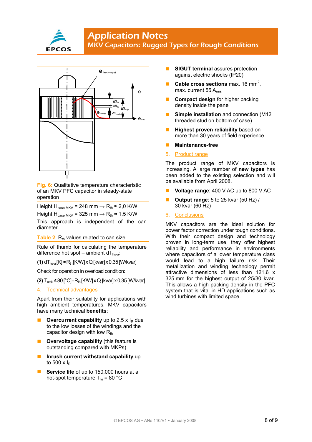

## **Application Notes** MKV Capacitors: Rugged Types for Rough Conditions



**Fig. 6:** Qualitative temperature characteristic of an MKV PFC capacitor in steady-state operation

Height H<sub>case MKV</sub> = 248 mm  $\rightarrow$  R<sub>th</sub>  $\approx$  2,0 K/W

Height H<sub>case MKV</sub> = 325 mm  $\rightarrow$  R<sub>th</sub>  $\approx$  1,5 K/W

This approach is independent of the can diameter.

#### **Table 2:**  $R_{th}$  values related to can size

Rule of thumb for calculating the temperature difference hot spot – ambient  $dT_{hs-a}$ :

**(1)**  $dT_{hsa}$  [K] $\approx$ R<sub>th</sub> [K/W] x Q [kvar] x 0,35 [W/kvar]

Check for operation in overload condition:

**(2)** T<sub>amb</sub> ≤80 [°C] - R<sub>th</sub> [K/W] x Q [kvar] x 0,35 [W/kvar]

4. Technical advantages

Apart from their suitability for applications with high ambient temperatures, MKV capacitors have many technical **benefits**:

- **Overcurrent capability** up to 2.5  $\times$   $I_R$  due to the low losses of the windings and the capacitor design with low  $R_{th}$
- **Overvoltage capability** (this feature is outstanding compared with MKPs)
- **Inrush current withstand capability** up to 500  $\times$  l<sub>R</sub>
- **Service life** of up to 150,000 hours at a hot-spot temperature  $T_{hs}$  = 80 °C
- **SIGUT terminal** assures protection against electric shocks (IP20)
- **Cable cross sections** max. 16 mm<sup>2</sup>, max. current 55 A<sub>rms</sub>
- **Compact design** for higher packing density inside the panel
- **Simple installation** and connection (M12 threaded stud on bottom of case)
- **Highest proven reliability** based on more than 30 years of field experience
- **Maintenance-free**
- 5. Product range

The product range of MKV capacitors is increasing. A large number of **new types** has been added to the existing selection and will be available from April 2008.

- **Voltage range**: 400 V AC up to 800 V AC
- **Output range**: 5 to 25 kvar (50 Hz) / 30 kvar (60 Hz)
- 6. Conclusions

MKV capacitors are the ideal solution for power factor correction under tough conditions. With their compact design and technology proven in long-term use, they offer highest reliability and performance in environments where capacitors of a lower temperature class would lead to a high failure risk. Their metallization and winding technology permit attractive dimensions of less than 121.6 x 325 mm for the highest output of 25/30 kvar. This allows a high packing density in the PFC system that is vital in HD applications such as wind turbines with limited space.